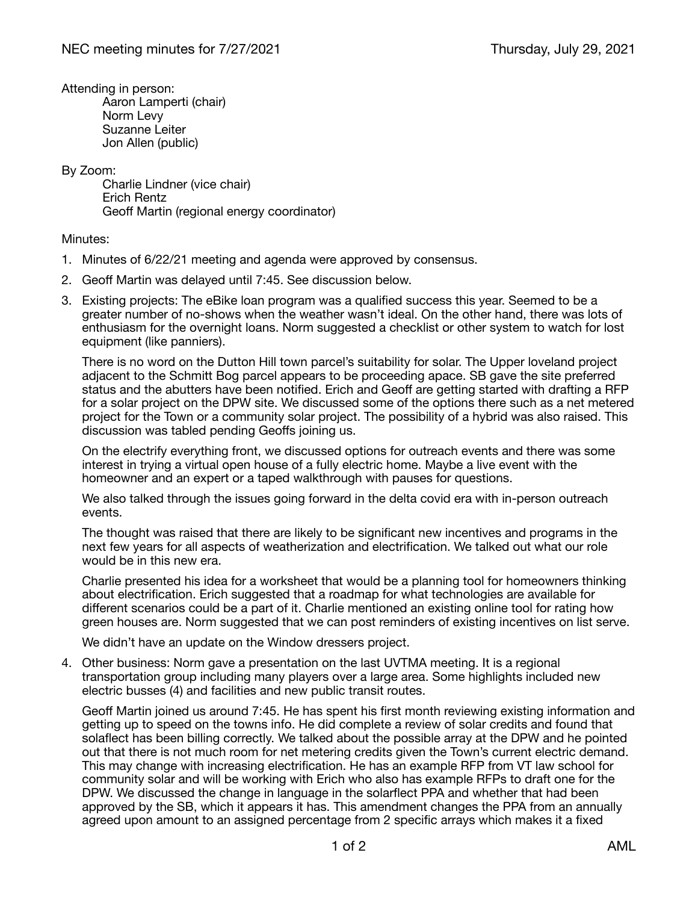Attending in person:

Aaron Lamperti (chair) Norm Levy Suzanne Leiter Jon Allen (public)

By Zoom:

Charlie Lindner (vice chair) Erich Rentz Geoff Martin (regional energy coordinator)

## Minutes:

- 1. Minutes of 6/22/21 meeting and agenda were approved by consensus.
- 2. Geoff Martin was delayed until 7:45. See discussion below.
- 3. Existing projects: The eBike loan program was a qualified success this year. Seemed to be a greater number of no-shows when the weather wasn't ideal. On the other hand, there was lots of enthusiasm for the overnight loans. Norm suggested a checklist or other system to watch for lost equipment (like panniers).

There is no word on the Dutton Hill town parcel's suitability for solar. The Upper loveland project adjacent to the Schmitt Bog parcel appears to be proceeding apace. SB gave the site preferred status and the abutters have been notified. Erich and Geoff are getting started with drafting a RFP for a solar project on the DPW site. We discussed some of the options there such as a net metered project for the Town or a community solar project. The possibility of a hybrid was also raised. This discussion was tabled pending Geoffs joining us.

On the electrify everything front, we discussed options for outreach events and there was some interest in trying a virtual open house of a fully electric home. Maybe a live event with the homeowner and an expert or a taped walkthrough with pauses for questions.

We also talked through the issues going forward in the delta covid era with in-person outreach events.

The thought was raised that there are likely to be significant new incentives and programs in the next few years for all aspects of weatherization and electrification. We talked out what our role would be in this new era.

Charlie presented his idea for a worksheet that would be a planning tool for homeowners thinking about electrification. Erich suggested that a roadmap for what technologies are available for different scenarios could be a part of it. Charlie mentioned an existing online tool for rating how green houses are. Norm suggested that we can post reminders of existing incentives on list serve.

We didn't have an update on the Window dressers project.

4. Other business: Norm gave a presentation on the last UVTMA meeting. It is a regional transportation group including many players over a large area. Some highlights included new electric busses (4) and facilities and new public transit routes.

Geoff Martin joined us around 7:45. He has spent his first month reviewing existing information and getting up to speed on the towns info. He did complete a review of solar credits and found that solaflect has been billing correctly. We talked about the possible array at the DPW and he pointed out that there is not much room for net metering credits given the Town's current electric demand. This may change with increasing electrification. He has an example RFP from VT law school for community solar and will be working with Erich who also has example RFPs to draft one for the DPW. We discussed the change in language in the solarflect PPA and whether that had been approved by the SB, which it appears it has. This amendment changes the PPA from an annually agreed upon amount to an assigned percentage from 2 specific arrays which makes it a fixed